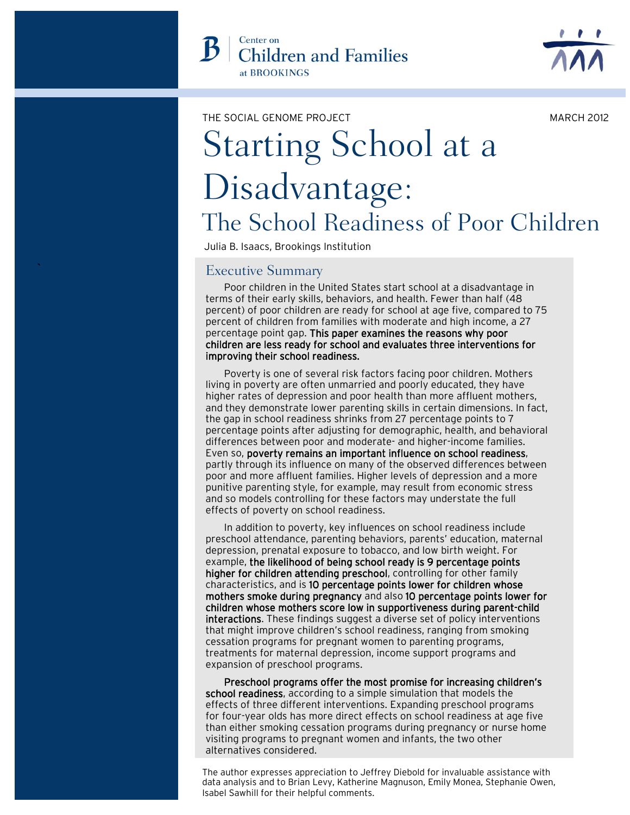MARCH 2012

# Starting School at a Disadvantage: The School Readiness of Poor Children THE SOCIAL GENOME PROJECT

Julia B. Isaacs, Brookings Institution

## Executive Summary

**`**

Poor children in the United States start school at a disadvantage in terms of their early skills, behaviors, and health. Fewer than half (48 percent) of poor children are ready for school at age five, compared to 75 percent of children from families with moderate and high income, a 27 percentage point gap. This paper examines the reasons why poor children are less ready for school and evaluates three interventions for improving their school readiness.

Poverty is one of several risk factors facing poor children. Mothers living in poverty are often unmarried and poorly educated, they have higher rates of depression and poor health than more affluent mothers, and they demonstrate lower parenting skills in certain dimensions. In fact, the gap in school readiness shrinks from 27 percentage points to 7 percentage points after adjusting for demographic, health, and behavioral differences between poor and moderate- and higher-income families. Even so, poverty remains an important influence on school readiness, partly through its influence on many of the observed differences between poor and more affluent families. Higher levels of depression and a more punitive parenting style, for example, may result from economic stress and so models controlling for these factors may understate the full effects of poverty on school readiness.

In addition to poverty, key influences on school readiness include preschool attendance, parenting behaviors, parents' education, maternal depression, prenatal exposure to tobacco, and low birth weight. For example, the likelihood of being school ready is 9 percentage points higher for children attending preschool, controlling for other family characteristics, and is 10 percentage points lower for children whose mothers smoke during pregnancy and also 10 percentage points lower for children whose mothers score low in supportiveness during parent-child interactions. These findings suggest a diverse set of policy interventions that might improve children's school readiness, ranging from smoking cessation programs for pregnant women to parenting programs, treatments for maternal depression, income support programs and expansion of preschool programs.

Preschool programs offer the most promise for increasing children's school readiness, according to a simple simulation that models the effects of three different interventions. Expanding preschool programs for four-year olds has more direct effects on school readiness at age five than either smoking cessation programs during pregnancy or nurse home visiting programs to pregnant women and infants, the two other alternatives considered.

The author expresses appreciation to Jeffrey Diebold for invaluable assistance with data analysis and to Brian Levy, Katherine Magnuson, Emily Monea, Stephanie Owen, Isabel Sawhill for their helpful comments.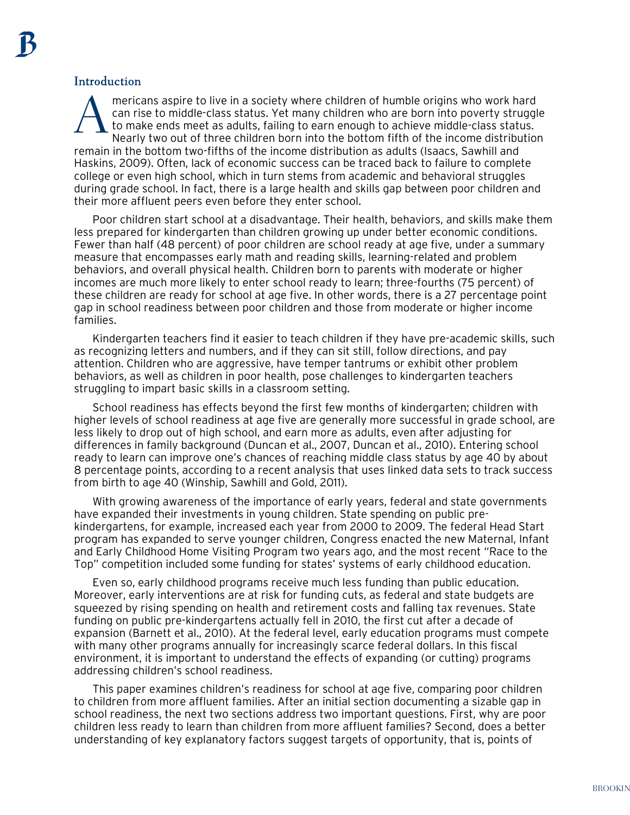## Introduction

mericans aspire to live in a society where children of humble origins who work hard can rise to middle-class status. Yet many children who are born into poverty struggle to make ends meet as adults, failing to earn enough to achieve middle-class status. Nearly two out of three children born into the bottom fifth of the income distribution remain in the bottom two-fifths of the income distribution as adults (Isaacs, Sawhill and Haskins, 2009). Often, lack of economic success can be traced back to failure to complete college or even high school, which in turn stems from academic and behavioral struggles during grade school. In fact, there is a large health and skills gap between poor children and their more affluent peers even before they enter school. A

Poor children start school at a disadvantage. Their health, behaviors, and skills make them less prepared for kindergarten than children growing up under better economic conditions. Fewer than half (48 percent) of poor children are school ready at age five, under a summary measure that encompasses early math and reading skills, learning-related and problem behaviors, and overall physical health. Children born to parents with moderate or higher incomes are much more likely to enter school ready to learn; three-fourths (75 percent) of these children are ready for school at age five. In other words, there is a 27 percentage point gap in school readiness between poor children and those from moderate or higher income families.

Kindergarten teachers find it easier to teach children if they have pre-academic skills, such as recognizing letters and numbers, and if they can sit still, follow directions, and pay attention. Children who are aggressive, have temper tantrums or exhibit other problem behaviors, as well as children in poor health, pose challenges to kindergarten teachers struggling to impart basic skills in a classroom setting.

School readiness has effects beyond the first few months of kindergarten; children with higher levels of school readiness at age five are generally more successful in grade school, are less likely to drop out of high school, and earn more as adults, even after adjusting for differences in family background (Duncan et al., 2007, Duncan et al., 2010). Entering school ready to learn can improve one's chances of reaching middle class status by age 40 by about 8 percentage points, according to a recent analysis that uses linked data sets to track success from birth to age 40 (Winship, Sawhill and Gold, 2011).

With growing awareness of the importance of early years, federal and state governments have expanded their investments in young children. State spending on public prekindergartens, for example, increased each year from 2000 to 2009. The federal Head Start program has expanded to serve younger children, Congress enacted the new Maternal, Infant and Early Childhood Home Visiting Program two years ago, and the most recent "Race to the Top" competition included some funding for states' systems of early childhood education.

Even so, early childhood programs receive much less funding than public education. Moreover, early interventions are at risk for funding cuts, as federal and state budgets are squeezed by rising spending on health and retirement costs and falling tax revenues. State funding on public pre-kindergartens actually fell in 2010, the first cut after a decade of expansion (Barnett et al., 2010). At the federal level, early education programs must compete with many other programs annually for increasingly scarce federal dollars. In this fiscal environment, it is important to understand the effects of expanding (or cutting) programs addressing children's school readiness.

This paper examines children's readiness for school at age five, comparing poor children to children from more affluent families. After an initial section documenting a sizable gap in school readiness, the next two sections address two important questions. First, why are poor children less ready to learn than children from more affluent families? Second, does a better understanding of key explanatory factors suggest targets of opportunity, that is, points of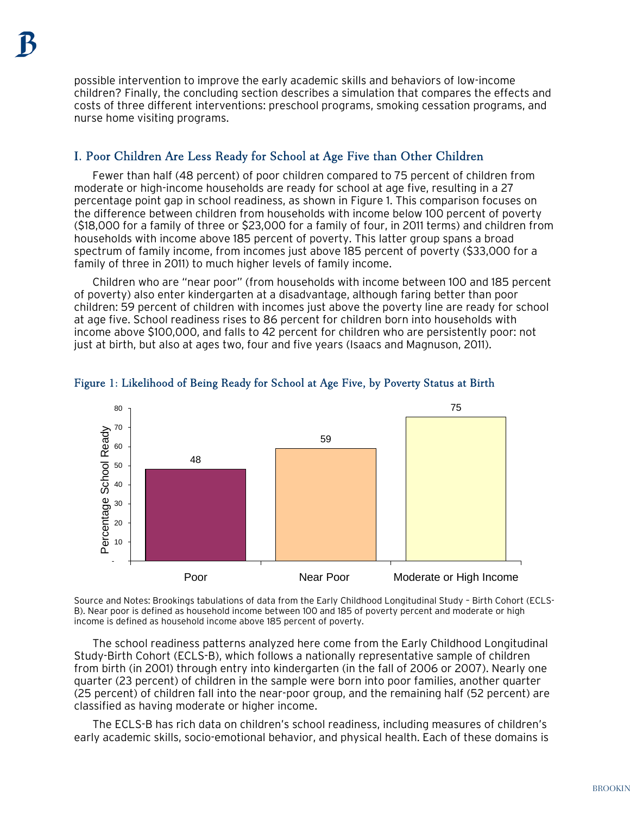possible intervention to improve the early academic skills and behaviors of low-income children? Finally, the concluding section describes a simulation that compares the effects and costs of three different interventions: preschool programs, smoking cessation programs, and nurse home visiting programs.

## I. Poor Children Are Less Ready for School at Age Five than Other Children

Fewer than half (48 percent) of poor children compared to 75 percent of children from moderate or high-income households are ready for school at age five, resulting in a 27 percentage point gap in school readiness, as shown in Figure 1. This comparison focuses on the difference between children from households with income below 100 percent of poverty (\$18,000 for a family of three or \$23,000 for a family of four, in 2011 terms) and children from households with income above 185 percent of poverty. This latter group spans a broad spectrum of family income, from incomes just above 185 percent of poverty (\$33,000 for a family of three in 2011) to much higher levels of family income.

Children who are "near poor" (from households with income between 100 and 185 percent of poverty) also enter kindergarten at a disadvantage, although faring better than poor children: 59 percent of children with incomes just above the poverty line are ready for school at age five. School readiness rises to 86 percent for children born into households with income above \$100,000, and falls to 42 percent for children who are persistently poor: not just at birth, but also at ages two, four and five years (Isaacs and Magnuson, 2011).



## Figure 1: Likelihood of Being Ready for School at Age Five, by Poverty Status at Birth

Source and Notes: Brookings tabulations of data from the Early Childhood Longitudinal Study – Birth Cohort (ECLS-B). Near poor is defined as household income between 100 and 185 of poverty percent and moderate or high income is defined as household income above 185 percent of poverty.

The school readiness patterns analyzed here come from the Early Childhood Longitudinal Study-Birth Cohort (ECLS-B), which follows a nationally representative sample of children from birth (in 2001) through entry into kindergarten (in the fall of 2006 or 2007). Nearly one quarter (23 percent) of children in the sample were born into poor families, another quarter (25 percent) of children fall into the near-poor group, and the remaining half (52 percent) are classified as having moderate or higher income.

The ECLS-B has rich data on children's school readiness, including measures of children's early academic skills, socio-emotional behavior, and physical health. Each of these domains is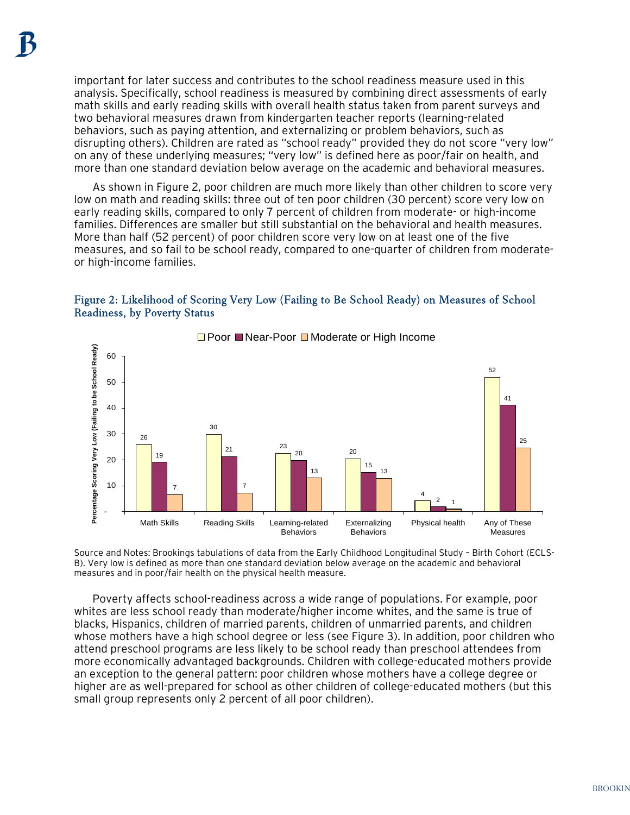important for later success and contributes to the school readiness measure used in this analysis. Specifically, school readiness is measured by combining direct assessments of early math skills and early reading skills with overall health status taken from parent surveys and two behavioral measures drawn from kindergarten teacher reports (learning-related behaviors, such as paying attention, and externalizing or problem behaviors, such as disrupting others). Children are rated as "school ready" provided they do not score "very low" on any of these underlying measures; "very low" is defined here as poor/fair on health, and more than one standard deviation below average on the academic and behavioral measures.

As shown in Figure 2, poor children are much more likely than other children to score very low on math and reading skills: three out of ten poor children (30 percent) score very low on early reading skills, compared to only 7 percent of children from moderate- or high-income families. Differences are smaller but still substantial on the behavioral and health measures. More than half (52 percent) of poor children score very low on at least one of the five measures, and so fail to be school ready, compared to one-quarter of children from moderateor high-income families.

### Figure 2: Likelihood of Scoring Very Low (Failing to Be School Ready) on Measures of School Readiness, by Poverty Status



 $\Box$  Poor  $\Box$  Near-Poor  $\Box$  Moderate or High Income

Source and Notes: Brookings tabulations of data from the Early Childhood Longitudinal Study – Birth Cohort (ECLS-B). Very low is defined as more than one standard deviation below average on the academic and behavioral measures and in poor/fair health on the physical health measure.

Poverty affects school-readiness across a wide range of populations. For example, poor whites are less school ready than moderate/higher income whites, and the same is true of blacks, Hispanics, children of married parents, children of unmarried parents, and children whose mothers have a high school degree or less (see Figure 3). In addition, poor children who attend preschool programs are less likely to be school ready than preschool attendees from more economically advantaged backgrounds. Children with college-educated mothers provide an exception to the general pattern: poor children whose mothers have a college degree or higher are as well-prepared for school as other children of college-educated mothers (but this small group represents only 2 percent of all poor children).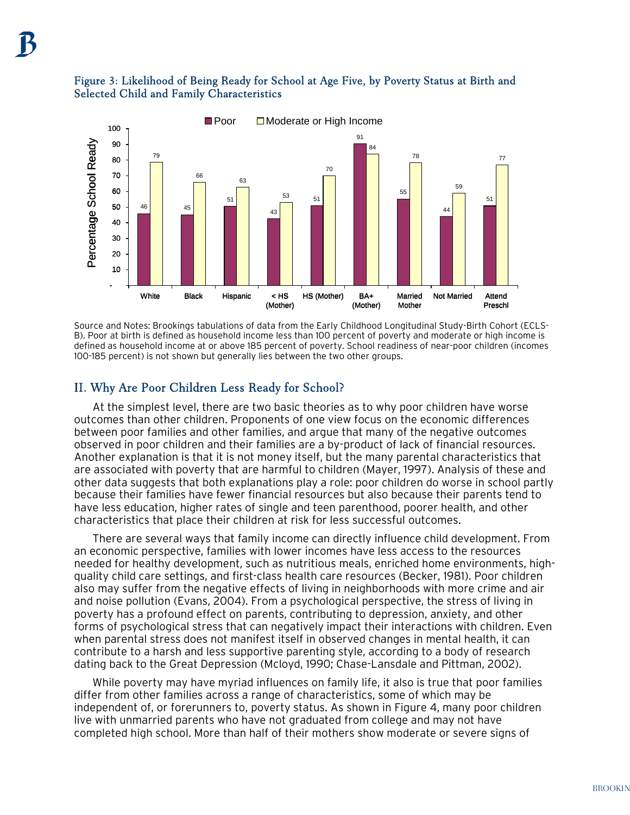# Selected Child and Family Characteristics



Source and Notes: Brookings tabulations of data from the Early Childhood Longitudinal Study-Birth Cohort (ECLS-B). Poor at birth is defined as household income less than 100 percent of poverty and moderate or high income is defined as household income at or above 185 percent of poverty. School readiness of near-poor children (incomes 100-185 percent) is not shown but generally lies between the two other groups.

## II. Why Are Poor Children Less Ready for School?

At the simplest level, there are two basic theories as to why poor children have worse outcomes than other children. Proponents of one view focus on the economic differences between poor families and other families, and argue that many of the negative outcomes observed in poor children and their families are a by-product of lack of financial resources. Another explanation is that it is not money itself, but the many parental characteristics that are associated with poverty that are harmful to children (Mayer, 1997). Analysis of these and other data suggests that both explanations play a role: poor children do worse in school partly because their families have fewer financial resources but also because their parents tend to have less education, higher rates of single and teen parenthood, poorer health, and other characteristics that place their children at risk for less successful outcomes.

There are several ways that family income can directly influence child development. From an economic perspective, families with lower incomes have less access to the resources needed for healthy development, such as nutritious meals, enriched home environments, highquality child care settings, and first-class health care resources (Becker, 1981). Poor children also may suffer from the negative effects of living in neighborhoods with more crime and air and noise pollution (Evans, 2004). From a psychological perspective, the stress of living in poverty has a profound effect on parents, contributing to depression, anxiety, and other forms of psychological stress that can negatively impact their interactions with children. Even when parental stress does not manifest itself in observed changes in mental health, it can contribute to a harsh and less supportive parenting style, according to a body of research dating back to the Great Depression (Mcloyd, 1990; Chase-Lansdale and Pittman, 2002).

While poverty may have myriad influences on family life, it also is true that poor families differ from other families across a range of characteristics, some of which may be independent of, or forerunners to, poverty status. As shown in Figure 4, many poor children live with unmarried parents who have not graduated from college and may not have completed high school. More than half of their mothers show moderate or severe signs of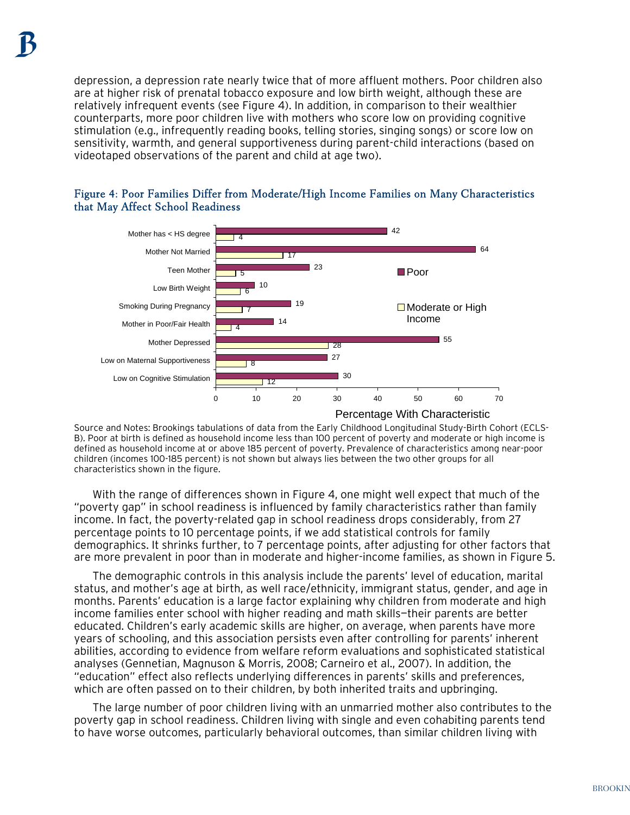depression, a depression rate nearly twice that of more affluent mothers. Poor children also are at higher risk of prenatal tobacco exposure and low birth weight, although these are relatively infrequent events (see Figure 4). In addition, in comparison to their wealthier counterparts, more poor children live with mothers who score low on providing cognitive stimulation (e.g., infrequently reading books, telling stories, singing songs) or score low on sensitivity, warmth, and general supportiveness during parent-child interactions (based on videotaped observations of the parent and child at age two).





Source and Notes: Brookings tabulations of data from the Early Childhood Longitudinal Study-Birth Cohort (ECLS-B). Poor at birth is defined as household income less than 100 percent of poverty and moderate or high income is defined as household income at or above 185 percent of poverty. Prevalence of characteristics among near-poor children (incomes 100-185 percent) is not shown but always lies between the two other groups for all characteristics shown in the figure.

With the range of differences shown in Figure 4, one might well expect that much of the "poverty gap" in school readiness is influenced by family characteristics rather than family income. In fact, the poverty-related gap in school readiness drops considerably, from 27 percentage points to 10 percentage points, if we add statistical controls for family demographics. It shrinks further, to 7 percentage points, after adjusting for other factors that are more prevalent in poor than in moderate and higher-income families, as shown in Figure 5.

The demographic controls in this analysis include the parents' level of education, marital status, and mother's age at birth, as well race/ethnicity, immigrant status, gender, and age in months. Parents' education is a large factor explaining why children from moderate and high income families enter school with higher reading and math skills—their parents are better educated. Children's early academic skills are higher, on average, when parents have more years of schooling, and this association persists even after controlling for parents' inherent abilities, according to evidence from welfare reform evaluations and sophisticated statistical analyses (Gennetian, Magnuson & Morris, 2008; Carneiro et al., 2007). In addition, the "education" effect also reflects underlying differences in parents' skills and preferences, which are often passed on to their children, by both inherited traits and upbringing.

The large number of poor children living with an unmarried mother also contributes to the poverty gap in school readiness. Children living with single and even cohabiting parents tend to have worse outcomes, particularly behavioral outcomes, than similar children living with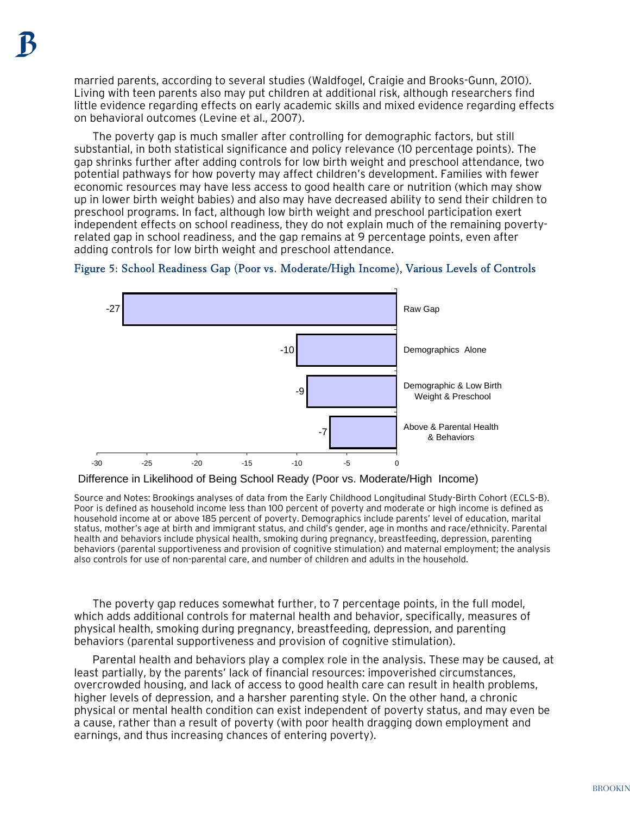married parents, according to several studies (Waldfogel, Craigie and Brooks-Gunn, 2010). Living with teen parents also may put children at additional risk, although researchers find little evidence regarding effects on early academic skills and mixed evidence regarding effects on behavioral outcomes (Levine et al., 2007).

The poverty gap is much smaller after controlling for demographic factors, but still substantial, in both statistical significance and policy relevance (10 percentage points). The gap shrinks further after adding controls for low birth weight and preschool attendance, two potential pathways for how poverty may affect children's development. Families with fewer economic resources may have less access to good health care or nutrition (which may show up in lower birth weight babies) and also may have decreased ability to send their children to preschool programs. In fact, although low birth weight and preschool participation exert independent effects on school readiness, they do not explain much of the remaining povertyrelated gap in school readiness, and the gap remains at 9 percentage points, even after adding controls for low birth weight and preschool attendance.



## Figure 5: School Readiness Gap (Poor vs. Moderate/High Income), Various Levels of Controls

Difference in Likelihood of Being School Ready (Poor vs. Moderate/High Income)

Source and Notes: Brookings analyses of data from the Early Childhood Longitudinal Study-Birth Cohort (ECLS-B). Poor is defined as household income less than 100 percent of poverty and moderate or high income is defined as household income at or above 185 percent of poverty. Demographics include parents' level of education, marital status, mother's age at birth and immigrant status, and child's gender, age in months and race/ethnicity. Parental health and behaviors include physical health, smoking during pregnancy, breastfeeding, depression, parenting behaviors (parental supportiveness and provision of cognitive stimulation) and maternal employment; the analysis also controls for use of non-parental care, and number of children and adults in the household.

The poverty gap reduces somewhat further, to 7 percentage points, in the full model, which adds additional controls for maternal health and behavior, specifically, measures of physical health, smoking during pregnancy, breastfeeding, depression, and parenting behaviors (parental supportiveness and provision of cognitive stimulation).

Parental health and behaviors play a complex role in the analysis. These may be caused, at least partially, by the parents' lack of financial resources: impoverished circumstances, overcrowded housing, and lack of access to good health care can result in health problems, higher levels of depression, and a harsher parenting style. On the other hand, a chronic physical or mental health condition can exist independent of poverty status, and may even be a cause, rather than a result of poverty (with poor health dragging down employment and earnings, and thus increasing chances of entering poverty).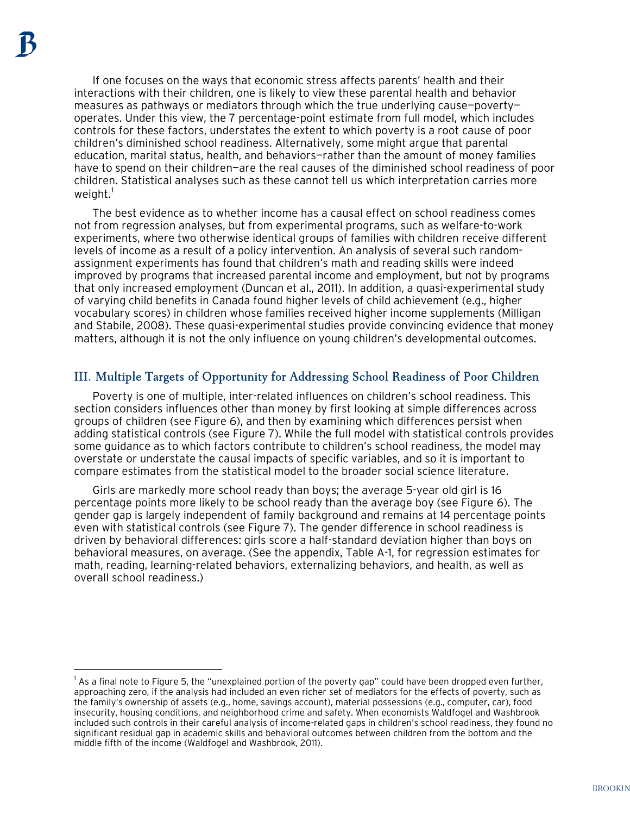$\overline{a}$ 

If one focuses on the ways that economic stress affects parents' health and their interactions with their children, one is likely to view these parental health and behavior measures as pathways or mediators through which the true underlying cause—poverty operates. Under this view, the 7 percentage-point estimate from full model, which includes controls for these factors, understates the extent to which poverty is a root cause of poor children's diminished school readiness. Alternatively, some might argue that parental education, marital status, health, and behaviors—rather than the amount of money families have to spend on their children-are the real causes of the diminished school readiness of poor children. Statistical analyses such as these cannot tell us which interpretation carries more weight. $<sup>1</sup>$  $<sup>1</sup>$  $<sup>1</sup>$ </sup>

The best evidence as to whether income has a causal effect on school readiness comes not from regression analyses, but from experimental programs, such as welfare-to-work experiments, where two otherwise identical groups of families with children receive different levels of income as a result of a policy intervention. An analysis of several such randomassignment experiments has found that children's math and reading skills were indeed improved by programs that increased parental income and employment, but not by programs that only increased employment (Duncan et al., 2011). In addition, a quasi-experimental study of varying child benefits in Canada found higher levels of child achievement (e.g., higher vocabulary scores) in children whose families received higher income supplements (Milligan and Stabile, 2008). These quasi-experimental studies provide convincing evidence that money matters, although it is not the only influence on young children's developmental outcomes.

## III. Multiple Targets of Opportunity for Addressing School Readiness of Poor Children

Poverty is one of multiple, inter-related influences on children's school readiness. This section considers influences other than money by first looking at simple differences across groups of children (see Figure 6), and then by examining which differences persist when adding statistical controls (see Figure 7). While the full model with statistical controls provides some guidance as to which factors contribute to children's school readiness, the model may overstate or understate the causal impacts of specific variables, and so it is important to compare estimates from the statistical model to the broader social science literature.

Girls are markedly more school ready than boys; the average 5-year old girl is 16 percentage points more likely to be school ready than the average boy (see Figure 6). The gender gap is largely independent of family background and remains at 14 percentage points even with statistical controls (see Figure 7). The gender difference in school readiness is driven by behavioral differences: girls score a half-standard deviation higher than boys on behavioral measures, on average. (See the appendix, Table A-1, for regression estimates for math, reading, learning-related behaviors, externalizing behaviors, and health, as well as overall school readiness.)

<span id="page-7-0"></span><sup>&</sup>lt;sup>1</sup> As a final note to Figure 5, the "unexplained portion of the poverty gap" could have been dropped even further, approaching zero, if the analysis had included an even richer set of mediators for the effects of poverty, such as the family's ownership of assets (e.g., home, savings account), material possessions (e.g., computer, car), food insecurity, housing conditions, and neighborhood crime and safety. When economists Waldfogel and Washbrook included such controls in their careful analysis of income-related gaps in children's school readiness, they found no significant residual gap in academic skills and behavioral outcomes between children from the bottom and the middle fifth of the income (Waldfogel and Washbrook, 2011).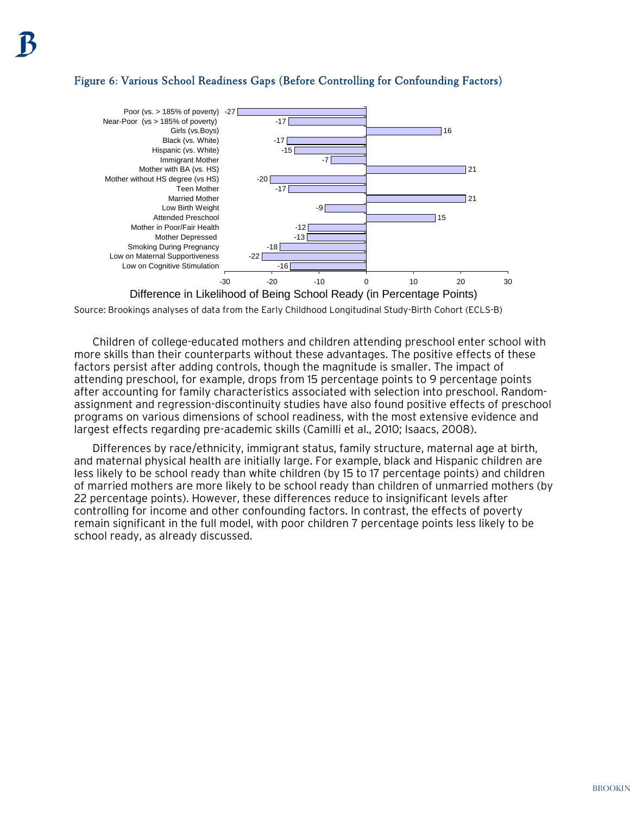## Figure 6: Various School Readiness Gaps (Before Controlling for Confounding Factors)



Source: Brookings analyses of data from the Early Childhood Longitudinal Study-Birth Cohort (ECLS-B)

Children of college-educated mothers and children attending preschool enter school with more skills than their counterparts without these advantages. The positive effects of these factors persist after adding controls, though the magnitude is smaller. The impact of attending preschool, for example, drops from 15 percentage points to 9 percentage points after accounting for family characteristics associated with selection into preschool. Randomassignment and regression-discontinuity studies have also found positive effects of preschool programs on various dimensions of school readiness, with the most extensive evidence and largest effects regarding pre-academic skills (Camilli et al., 2010; Isaacs, 2008).

Differences by race/ethnicity, immigrant status, family structure, maternal age at birth, and maternal physical health are initially large. For example, black and Hispanic children are less likely to be school ready than white children (by 15 to 17 percentage points) and children of married mothers are more likely to be school ready than children of unmarried mothers (by 22 percentage points). However, these differences reduce to insignificant levels after controlling for income and other confounding factors. In contrast, the effects of poverty remain significant in the full model, with poor children 7 percentage points less likely to be school ready, as already discussed.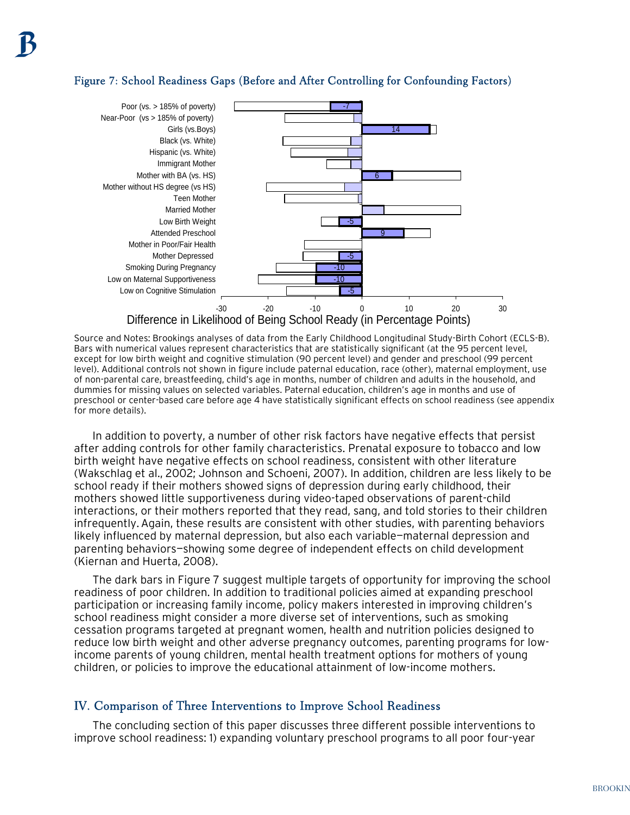#### Figure 7: School Readiness Gaps (Before and After Controlling for Confounding Factors)



Source and Notes: Brookings analyses of data from the Early Childhood Longitudinal Study-Birth Cohort (ECLS-B). Bars with numerical values represent characteristics that are statistically significant (at the 95 percent level, except for low birth weight and cognitive stimulation (90 percent level) and gender and preschool (99 percent level). Additional controls not shown in figure include paternal education, race (other), maternal employment, use of non-parental care, breastfeeding, child's age in months, number of children and adults in the household, and dummies for missing values on selected variables. Paternal education, children's age in months and use of preschool or center-based care before age 4 have statistically significant effects on school readiness (see appendix for more details).

In addition to poverty, a number of other risk factors have negative effects that persist after adding controls for other family characteristics. Prenatal exposure to tobacco and low birth weight have negative effects on school readiness, consistent with other literature (Wakschlag et al., 2002; Johnson and Schoeni, 2007). In addition, children are less likely to be school ready if their mothers showed signs of depression during early childhood, their mothers showed little supportiveness during video-taped observations of parent-child interactions, or their mothers reported that they read, sang, and told stories to their children infrequently.Again, these results are consistent with other studies, with parenting behaviors likely influenced by maternal depression, but also each variable—maternal depression and parenting behaviors—showing some degree of independent effects on child development (Kiernan and Huerta, 2008).

The dark bars in Figure 7 suggest multiple targets of opportunity for improving the school readiness of poor children. In addition to traditional policies aimed at expanding preschool participation or increasing family income, policy makers interested in improving children's school readiness might consider a more diverse set of interventions, such as smoking cessation programs targeted at pregnant women, health and nutrition policies designed to reduce low birth weight and other adverse pregnancy outcomes, parenting programs for lowincome parents of young children, mental health treatment options for mothers of young children, or policies to improve the educational attainment of low-income mothers.

#### IV. Comparison of Three Interventions to Improve School Readiness

The concluding section of this paper discusses three different possible interventions to improve school readiness: 1) expanding voluntary preschool programs to all poor four-year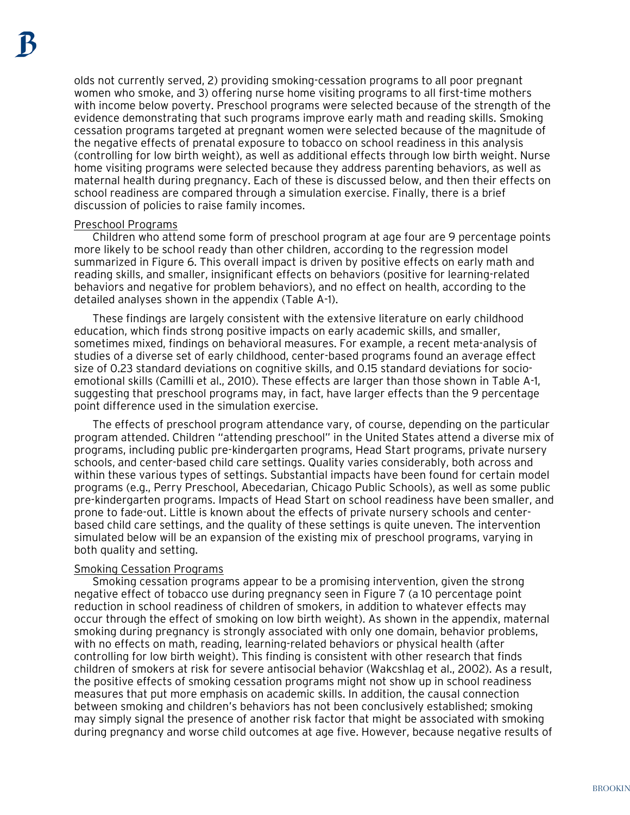olds not currently served, 2) providing smoking-cessation programs to all poor pregnant women who smoke, and 3) offering nurse home visiting programs to all first-time mothers with income below poverty. Preschool programs were selected because of the strength of the evidence demonstrating that such programs improve early math and reading skills. Smoking cessation programs targeted at pregnant women were selected because of the magnitude of the negative effects of prenatal exposure to tobacco on school readiness in this analysis (controlling for low birth weight), as well as additional effects through low birth weight. Nurse home visiting programs were selected because they address parenting behaviors, as well as maternal health during pregnancy. Each of these is discussed below, and then their effects on school readiness are compared through a simulation exercise. Finally, there is a brief discussion of policies to raise family incomes.

#### Preschool Programs

Children who attend some form of preschool program at age four are 9 percentage points more likely to be school ready than other children, according to the regression model summarized in Figure 6. This overall impact is driven by positive effects on early math and reading skills, and smaller, insignificant effects on behaviors (positive for learning-related behaviors and negative for problem behaviors), and no effect on health, according to the detailed analyses shown in the appendix (Table A-1).

These findings are largely consistent with the extensive literature on early childhood education, which finds strong positive impacts on early academic skills, and smaller, sometimes mixed, findings on behavioral measures. For example, a recent meta-analysis of studies of a diverse set of early childhood, center-based programs found an average effect size of 0.23 standard deviations on cognitive skills, and 0.15 standard deviations for socioemotional skills (Camilli et al., 2010). These effects are larger than those shown in Table A-1, suggesting that preschool programs may, in fact, have larger effects than the 9 percentage point difference used in the simulation exercise.

The effects of preschool program attendance vary, of course, depending on the particular program attended. Children "attending preschool" in the United States attend a diverse mix of programs, including public pre-kindergarten programs, Head Start programs, private nursery schools, and center-based child care settings. Quality varies considerably, both across and within these various types of settings. Substantial impacts have been found for certain model programs (e.g., Perry Preschool, Abecedarian, Chicago Public Schools), as well as some public pre-kindergarten programs. Impacts of Head Start on school readiness have been smaller, and prone to fade-out. Little is known about the effects of private nursery schools and centerbased child care settings, and the quality of these settings is quite uneven. The intervention simulated below will be an expansion of the existing mix of preschool programs, varying in both quality and setting.

#### Smoking Cessation Programs

Smoking cessation programs appear to be a promising intervention, given the strong negative effect of tobacco use during pregnancy seen in Figure 7 (a 10 percentage point reduction in school readiness of children of smokers, in addition to whatever effects may occur through the effect of smoking on low birth weight). As shown in the appendix, maternal smoking during pregnancy is strongly associated with only one domain, behavior problems, with no effects on math, reading, learning-related behaviors or physical health (after controlling for low birth weight). This finding is consistent with other research that finds children of smokers at risk for severe antisocial behavior (Wakcshlag et al., 2002). As a result, the positive effects of smoking cessation programs might not show up in school readiness measures that put more emphasis on academic skills. In addition, the causal connection between smoking and children's behaviors has not been conclusively established; smoking may simply signal the presence of another risk factor that might be associated with smoking during pregnancy and worse child outcomes at age five. However, because negative results of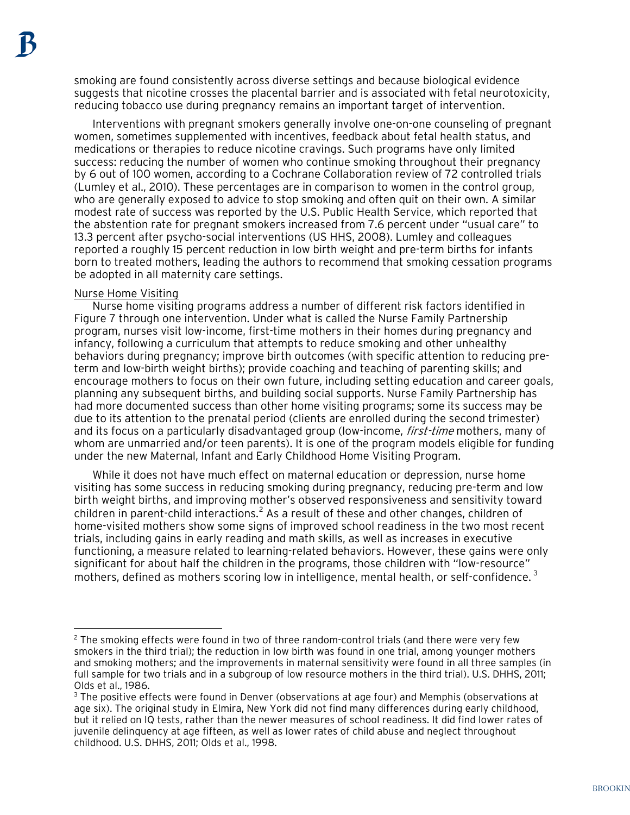smoking are found consistently across diverse settings and because biological evidence suggests that nicotine crosses the placental barrier and is associated with fetal neurotoxicity, reducing tobacco use during pregnancy remains an important target of intervention.

Interventions with pregnant smokers generally involve one-on-one counseling of pregnant women, sometimes supplemented with incentives, feedback about fetal health status, and medications or therapies to reduce nicotine cravings. Such programs have only limited success: reducing the number of women who continue smoking throughout their pregnancy by 6 out of 100 women, according to a Cochrane Collaboration review of 72 controlled trials (Lumley et al., 2010). These percentages are in comparison to women in the control group, who are generally exposed to advice to stop smoking and often quit on their own. A similar modest rate of success was reported by the U.S. Public Health Service, which reported that the abstention rate for pregnant smokers increased from 7.6 percent under "usual care" to 13.3 percent after psycho-social interventions (US HHS, 2008). Lumley and colleagues reported a roughly 15 percent reduction in low birth weight and pre-term births for infants born to treated mothers, leading the authors to recommend that smoking cessation programs be adopted in all maternity care settings.

#### Nurse Home Visiting

 $\overline{a}$ 

Nurse home visiting programs address a number of different risk factors identified in Figure 7 through one intervention. Under what is called the Nurse Family Partnership program, nurses visit low-income, first-time mothers in their homes during pregnancy and infancy, following a curriculum that attempts to reduce smoking and other unhealthy behaviors during pregnancy; improve birth outcomes (with specific attention to reducing preterm and low-birth weight births); provide coaching and teaching of parenting skills; and encourage mothers to focus on their own future, including setting education and career goals, planning any subsequent births, and building social supports. Nurse Family Partnership has had more documented success than other home visiting programs; some its success may be due to its attention to the prenatal period (clients are enrolled during the second trimester) and its focus on a particularly disadvantaged group (low-income, *first-time* mothers, many of whom are unmarried and/or teen parents). It is one of the program models eligible for funding under the new Maternal, Infant and Early Childhood Home Visiting Program.

While it does not have much effect on maternal education or depression, nurse home visiting has some success in reducing smoking during pregnancy, reducing pre-term and low birth weight births, and improving mother's observed responsiveness and sensitivity toward children in parent-child interactions.<sup>[2](#page-11-0)</sup> As a result of these and other changes, children of home-visited mothers show some signs of improved school readiness in the two most recent trials, including gains in early reading and math skills, as well as increases in executive functioning, a measure related to learning-related behaviors. However, these gains were only significant for about half the children in the programs, those children with "low-resource" mothers, defined as mothers scoring low in intelligence, mental health, or self-confidence.  $^3$  $^3$ 

<span id="page-11-0"></span><sup>&</sup>lt;sup>2</sup> The smoking effects were found in two of three random-control trials (and there were very few smokers in the third trial); the reduction in low birth was found in one trial, among younger mothers and smoking mothers; and the improvements in maternal sensitivity were found in all three samples (in full sample for two trials and in a subgroup of low resource mothers in the third trial). U.S. DHHS, 2011; Olds et al., 1986.

<span id="page-11-1"></span> $3$  The positive effects were found in Denver (observations at age four) and Memphis (observations at age six). The original study in Elmira, New York did not find many differences during early childhood, but it relied on IQ tests, rather than the newer measures of school readiness. It did find lower rates of juvenile delinquency at age fifteen, as well as lower rates of child abuse and neglect throughout childhood. U.S. DHHS, 2011; Olds et al., 1998.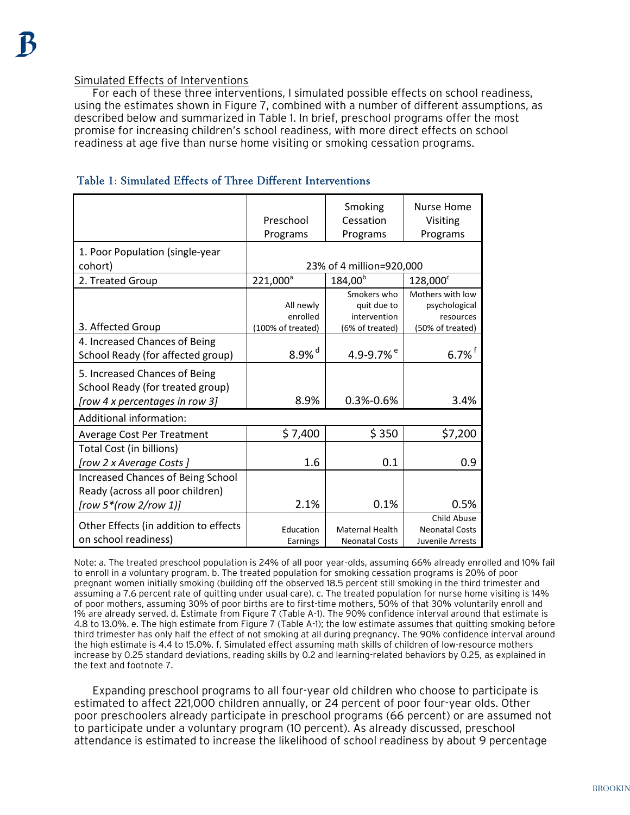#### Simulated Effects of Interventions

For each of these three interventions, I simulated possible effects on school readiness, using the estimates shown in Figure 7, combined with a number of different assumptions, as described below and summarized in Table 1. In brief, preschool programs offer the most promise for increasing children's school readiness, with more direct effects on school readiness at age five than nurse home visiting or smoking cessation programs.

|                                          |                               | Smoking                         | <b>Nurse Home</b>             |  |  |
|------------------------------------------|-------------------------------|---------------------------------|-------------------------------|--|--|
|                                          | Preschool                     | Cessation                       | Visiting                      |  |  |
|                                          | Programs                      | Programs                        | Programs                      |  |  |
| 1. Poor Population (single-year          |                               |                                 |                               |  |  |
| cohort)                                  | 23% of 4 million=920,000      |                                 |                               |  |  |
| 2. Treated Group                         | 221,000 <sup>a</sup>          | $184,00^{b}$                    | 128,000 <sup>c</sup>          |  |  |
|                                          |                               | Smokers who                     | Mothers with low              |  |  |
|                                          | All newly                     | quit due to                     | psychological                 |  |  |
| 3. Affected Group                        | enrolled<br>(100% of treated) | intervention<br>(6% of treated) | resources<br>(50% of treated) |  |  |
|                                          |                               |                                 |                               |  |  |
| 4. Increased Chances of Being            | 8.9% $^d$                     | 4.9-9.7% <sup>e</sup>           | $6.7\%$ <sup>f</sup>          |  |  |
| School Ready (for affected group)        |                               |                                 |                               |  |  |
| 5. Increased Chances of Being            |                               |                                 |                               |  |  |
| School Ready (for treated group)         |                               |                                 |                               |  |  |
| [row 4 x percentages in row 3]           | 8.9%                          | $0.3% -0.6%$                    | 3.4%                          |  |  |
| Additional information:                  |                               |                                 |                               |  |  |
| <b>Average Cost Per Treatment</b>        | \$7,400                       | \$350                           | \$7,200                       |  |  |
| Total Cost (in billions)                 |                               |                                 |                               |  |  |
| [row 2 x Average Costs]                  | 1.6                           | 0.1                             | 0.9                           |  |  |
| <b>Increased Chances of Being School</b> |                               |                                 |                               |  |  |
| Ready (across all poor children)         |                               |                                 |                               |  |  |
| [row 5*(row 2/row 1)]                    | 2.1%                          | 0.1%                            | 0.5%                          |  |  |
|                                          |                               |                                 | Child Abuse                   |  |  |
| Other Effects (in addition to effects    | Education                     | <b>Maternal Health</b>          | <b>Neonatal Costs</b>         |  |  |
| on school readiness)                     | Earnings                      | <b>Neonatal Costs</b>           | Juvenile Arrests              |  |  |

#### Table 1: Simulated Effects of Three Different Interventions

Note: a. The treated preschool population is 24% of all poor year-olds, assuming 66% already enrolled and 10% fail to enroll in a voluntary program. b. The treated population for smoking cessation programs is 20% of poor pregnant women initially smoking (building off the observed 18.5 percent still smoking in the third trimester and assuming a 7.6 percent rate of quitting under usual care). c. The treated population for nurse home visiting is 14% of poor mothers, assuming 30% of poor births are to first-time mothers, 50% of that 30% voluntarily enroll and 1% are already served. d. Estimate from Figure 7 (Table A-1). The 90% confidence interval around that estimate is 4.8 to 13.0%. e. The high estimate from Figure 7 (Table A-1); the low estimate assumes that quitting smoking before third trimester has only half the effect of not smoking at all during pregnancy. The 90% confidence interval around the high estimate is 4.4 to 15.0%. f. Simulated effect assuming math skills of children of low-resource mothers increase by 0.25 standard deviations, reading skills by 0.2 and learning-related behaviors by 0.25, as explained in the text and footnote 7.

Expanding preschool programs to all four-year old children who choose to participate is estimated to affect 221,000 children annually, or 24 percent of poor four-year olds. Other poor preschoolers already participate in preschool programs (66 percent) or are assumed not to participate under a voluntary program (10 percent). As already discussed, preschool attendance is estimated to increase the likelihood of school readiness by about 9 percentage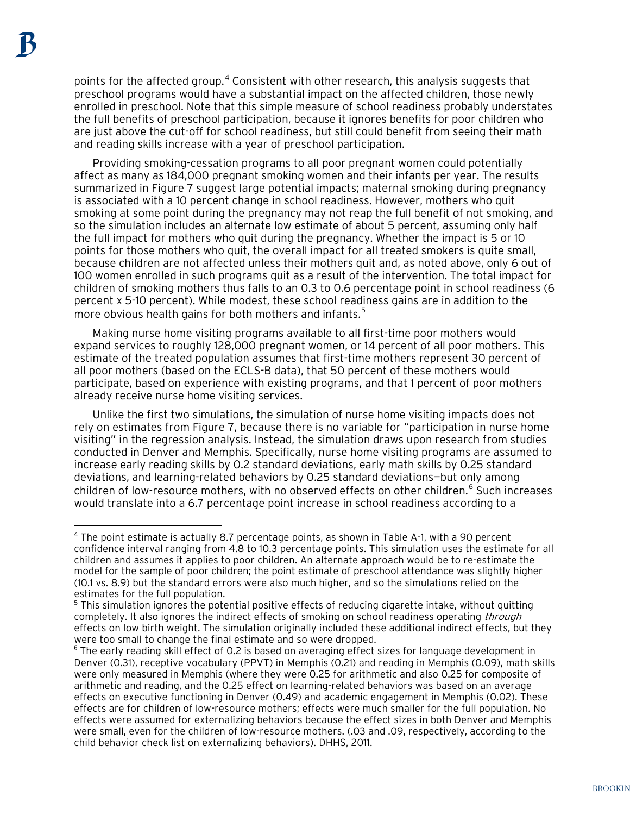$\overline{a}$ 

points for the affected group. $^4$  $^4$  Consistent with other research, this analysis suggests that preschool programs would have a substantial impact on the affected children, those newly enrolled in preschool. Note that this simple measure of school readiness probably understates the full benefits of preschool participation, because it ignores benefits for poor children who are just above the cut-off for school readiness, but still could benefit from seeing their math and reading skills increase with a year of preschool participation.

Providing smoking-cessation programs to all poor pregnant women could potentially affect as many as 184,000 pregnant smoking women and their infants per year. The results summarized in Figure 7 suggest large potential impacts; maternal smoking during pregnancy is associated with a 10 percent change in school readiness. However, mothers who quit smoking at some point during the pregnancy may not reap the full benefit of not smoking, and so the simulation includes an alternate low estimate of about 5 percent, assuming only half the full impact for mothers who quit during the pregnancy. Whether the impact is 5 or 10 points for those mothers who quit, the overall impact for all treated smokers is quite small, because children are not affected unless their mothers quit and, as noted above, only 6 out of 100 women enrolled in such programs quit as a result of the intervention. The total impact for children of smoking mothers thus falls to an 0.3 to 0.6 percentage point in school readiness (6 percent x 5-10 percent). While modest, these school readiness gains are in addition to the more obvious health gains for both mothers and infants. [5](#page-13-1)

Making nurse home visiting programs available to all first-time poor mothers would expand services to roughly 128,000 pregnant women, or 14 percent of all poor mothers. This estimate of the treated population assumes that first-time mothers represent 30 percent of all poor mothers (based on the ECLS-B data), that 50 percent of these mothers would participate, based on experience with existing programs, and that 1 percent of poor mothers already receive nurse home visiting services.

Unlike the first two simulations, the simulation of nurse home visiting impacts does not rely on estimates from Figure 7, because there is no variable for "participation in nurse home visiting" in the regression analysis. Instead, the simulation draws upon research from studies conducted in Denver and Memphis. Specifically, nurse home visiting programs are assumed to increase early reading skills by 0.2 standard deviations, early math skills by 0.25 standard deviations, and learning-related behaviors by 0.25 standard deviations—but only among children of low-resource mothers, with no observed effects on other children.<sup>[6](#page-13-2)</sup> Such increases would translate into a 6.7 percentage point increase in school readiness according to a

<span id="page-13-0"></span><sup>4</sup> The point estimate is actually 8.7 percentage points, as shown in Table A-1, with a 90 percent confidence interval ranging from 4.8 to 10.3 percentage points. This simulation uses the estimate for all children and assumes it applies to poor children. An alternate approach would be to re-estimate the model for the sample of poor children; the point estimate of preschool attendance was slightly higher (10.1 vs. 8.9) but the standard errors were also much higher, and so the simulations relied on the estimates for the full population.

<span id="page-13-1"></span><sup>&</sup>lt;sup>5</sup> This simulation ignores the potential positive effects of reducing cigarette intake, without quitting completely. It also ignores the indirect effects of smoking on school readiness operating *through* effects on low birth weight. The simulation originally included these additional indirect effects, but they were too small to change the final estimate and so were dropped.

<span id="page-13-2"></span><sup>6</sup> The early reading skill effect of 0.2 is based on averaging effect sizes for language development in Denver (0.31), receptive vocabulary (PPVT) in Memphis (0.21) and reading in Memphis (0.09), math skills were only measured in Memphis (where they were 0.25 for arithmetic and also 0.25 for composite of arithmetic and reading, and the 0.25 effect on learning-related behaviors was based on an average effects on executive functioning in Denver (0.49) and academic engagement in Memphis (0.02). These effects are for children of low-resource mothers; effects were much smaller for the full population. No effects were assumed for externalizing behaviors because the effect sizes in both Denver and Memphis were small, even for the children of low-resource mothers. (.03 and .09, respectively, according to the child behavior check list on externalizing behaviors). DHHS, 2011.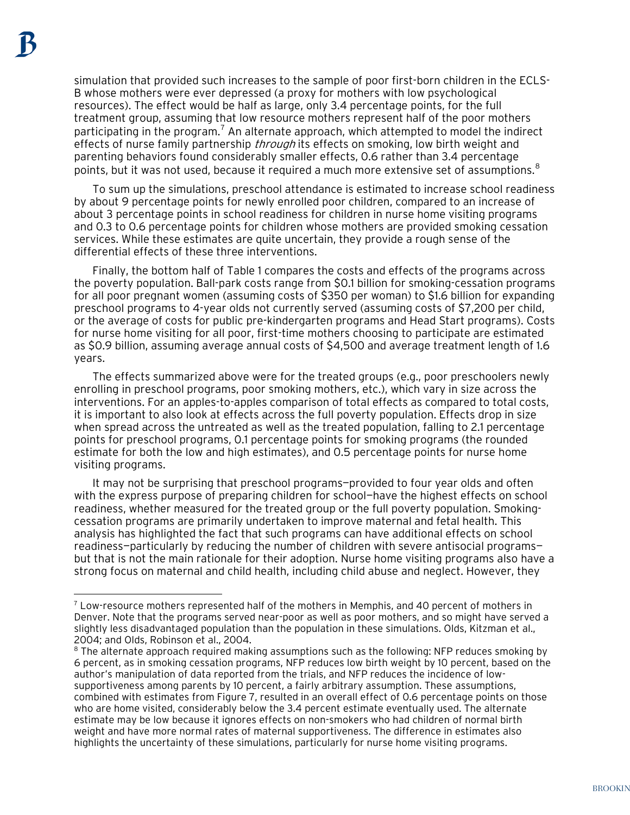$\overline{a}$ 

simulation that provided such increases to the sample of poor first-born children in the ECLS-B whose mothers were ever depressed (a proxy for mothers with low psychological resources). The effect would be half as large, only 3.4 percentage points, for the full treatment group, assuming that low resource mothers represent half of the poor mothers participating in the program.<sup>[7](#page-14-0)</sup> An alternate approach, which attempted to model the indirect effects of nurse family partnership *through* its effects on smoking, low birth weight and parenting behaviors found considerably smaller effects, 0.6 rather than 3.4 percentage points, but it was not used, because it required a much more extensive set of assumptions.<sup>[8](#page-14-1)</sup>

To sum up the simulations, preschool attendance is estimated to increase school readiness by about 9 percentage points for newly enrolled poor children, compared to an increase of about 3 percentage points in school readiness for children in nurse home visiting programs and 0.3 to 0.6 percentage points for children whose mothers are provided smoking cessation services. While these estimates are quite uncertain, they provide a rough sense of the differential effects of these three interventions.

Finally, the bottom half of Table 1 compares the costs and effects of the programs across the poverty population. Ball-park costs range from \$0.1 billion for smoking-cessation programs for all poor pregnant women (assuming costs of \$350 per woman) to \$1.6 billion for expanding preschool programs to 4-year olds not currently served (assuming costs of \$7,200 per child, or the average of costs for public pre-kindergarten programs and Head Start programs). Costs for nurse home visiting for all poor, first-time mothers choosing to participate are estimated as \$0.9 billion, assuming average annual costs of \$4,500 and average treatment length of 1.6 years.

The effects summarized above were for the treated groups (e.g., poor preschoolers newly enrolling in preschool programs, poor smoking mothers, etc.), which vary in size across the interventions. For an apples-to-apples comparison of total effects as compared to total costs, it is important to also look at effects across the full poverty population. Effects drop in size when spread across the untreated as well as the treated population, falling to 2.1 percentage points for preschool programs, 0.1 percentage points for smoking programs (the rounded estimate for both the low and high estimates), and 0.5 percentage points for nurse home visiting programs.

It may not be surprising that preschool programs—provided to four year olds and often with the express purpose of preparing children for school—have the highest effects on school readiness, whether measured for the treated group or the full poverty population. Smokingcessation programs are primarily undertaken to improve maternal and fetal health. This analysis has highlighted the fact that such programs can have additional effects on school readiness—particularly by reducing the number of children with severe antisocial programs but that is not the main rationale for their adoption. Nurse home visiting programs also have a strong focus on maternal and child health, including child abuse and neglect. However, they

<span id="page-14-0"></span> $7$  Low-resource mothers represented half of the mothers in Memphis, and 40 percent of mothers in Denver. Note that the programs served near-poor as well as poor mothers, and so might have served a slightly less disadvantaged population than the population in these simulations. Olds, Kitzman et al., 2004; and Olds, Robinson et al., 2004.

<span id="page-14-1"></span> $8$  The alternate approach required making assumptions such as the following: NFP reduces smoking by 6 percent, as in smoking cessation programs, NFP reduces low birth weight by 10 percent, based on the author's manipulation of data reported from the trials, and NFP reduces the incidence of lowsupportiveness among parents by 10 percent, a fairly arbitrary assumption. These assumptions, combined with estimates from Figure 7, resulted in an overall effect of 0.6 percentage points on those who are home visited, considerably below the 3.4 percent estimate eventually used. The alternate estimate may be low because it ignores effects on non-smokers who had children of normal birth weight and have more normal rates of maternal supportiveness. The difference in estimates also highlights the uncertainty of these simulations, particularly for nurse home visiting programs.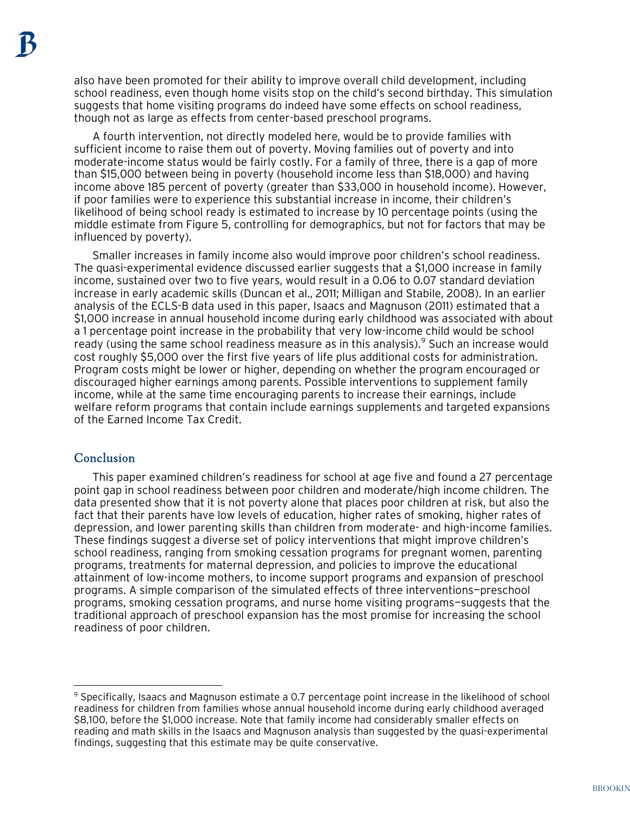also have been promoted for their ability to improve overall child development, including school readiness, even though home visits stop on the child's second birthday. This simulation suggests that home visiting programs do indeed have some effects on school readiness, though not as large as effects from center-based preschool programs.

A fourth intervention, not directly modeled here, would be to provide families with sufficient income to raise them out of poverty. Moving families out of poverty and into moderate-income status would be fairly costly. For a family of three, there is a gap of more than \$15,000 between being in poverty (household income less than \$18,000) and having income above 185 percent of poverty (greater than \$33,000 in household income). However, if poor families were to experience this substantial increase in income, their children's likelihood of being school ready is estimated to increase by 10 percentage points (using the middle estimate from Figure 5, controlling for demographics, but not for factors that may be influenced by poverty).

Smaller increases in family income also would improve poor children's school readiness. The quasi-experimental evidence discussed earlier suggests that a \$1,000 increase in family income, sustained over two to five years, would result in a 0.06 to 0.07 standard deviation increase in early academic skills (Duncan et al., 2011; Milligan and Stabile, 2008). In an earlier analysis of the ECLS-B data used in this paper, Isaacs and Magnuson (2011) estimated that a \$1,000 increase in annual household income during early childhood was associated with about a 1 percentage point increase in the probability that very low-income child would be school ready (using the same school readiness measure as in this analysis).  $9$  Such an increase would cost roughly \$5,000 over the first five years of life plus additional costs for administration. Program costs might be lower or higher, depending on whether the program encouraged or discouraged higher earnings among parents. Possible interventions to supplement family income, while at the same time encouraging parents to increase their earnings, include welfare reform programs that contain include earnings supplements and targeted expansions of the Earned Income Tax Credit.

#### **Conclusion**

 $\overline{a}$ 

This paper examined children's readiness for school at age five and found a 27 percentage point gap in school readiness between poor children and moderate/high income children. The data presented show that it is not poverty alone that places poor children at risk, but also the fact that their parents have low levels of education, higher rates of smoking, higher rates of depression, and lower parenting skills than children from moderate- and high-income families. These findings suggest a diverse set of policy interventions that might improve children's school readiness, ranging from smoking cessation programs for pregnant women, parenting programs, treatments for maternal depression, and policies to improve the educational attainment of low-income mothers, to income support programs and expansion of preschool programs. A simple comparison of the simulated effects of three interventions—preschool programs, smoking cessation programs, and nurse home visiting programs—suggests that the traditional approach of preschool expansion has the most promise for increasing the school readiness of poor children.

<span id="page-15-0"></span> $9$  Specifically, Isaacs and Magnuson estimate a 0.7 percentage point increase in the likelihood of school readiness for children from families whose annual household income during early childhood averaged \$8,100, before the \$1,000 increase. Note that family income had considerably smaller effects on reading and math skills in the Isaacs and Magnuson analysis than suggested by the quasi-experimental findings, suggesting that this estimate may be quite conservative.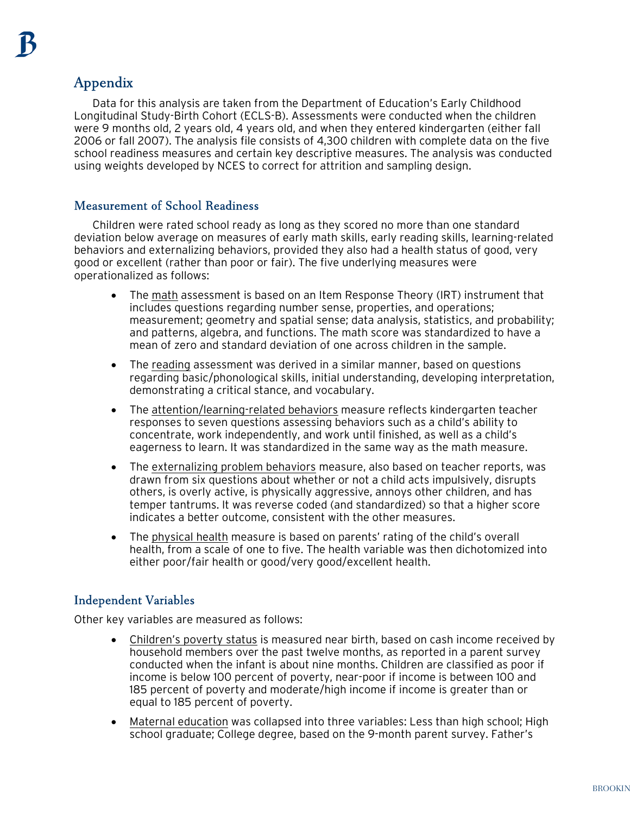## Appendix

Data for this analysis are taken from the Department of Education's Early Childhood Longitudinal Study-Birth Cohort (ECLS-B). Assessments were conducted when the children were 9 months old, 2 years old, 4 years old, and when they entered kindergarten (either fall 2006 or fall 2007). The analysis file consists of 4,300 children with complete data on the five school readiness measures and certain key descriptive measures. The analysis was conducted using weights developed by NCES to correct for attrition and sampling design.

## Measurement of School Readiness

Children were rated school ready as long as they scored no more than one standard deviation below average on measures of early math skills, early reading skills, learning-related behaviors and externalizing behaviors, provided they also had a health status of good, very good or excellent (rather than poor or fair). The five underlying measures were operationalized as follows:

- The math assessment is based on an Item Response Theory (IRT) instrument that includes questions regarding number sense, properties, and operations; measurement; geometry and spatial sense; data analysis, statistics, and probability; and patterns, algebra, and functions. The math score was standardized to have a mean of zero and standard deviation of one across children in the sample.
- The reading assessment was derived in a similar manner, based on questions regarding basic/phonological skills, initial understanding, developing interpretation, demonstrating a critical stance, and vocabulary.
- The attention/learning-related behaviors measure reflects kindergarten teacher responses to seven questions assessing behaviors such as a child's ability to concentrate, work independently, and work until finished, as well as a child's eagerness to learn. It was standardized in the same way as the math measure.
- The externalizing problem behaviors measure, also based on teacher reports, was drawn from six questions about whether or not a child acts impulsively, disrupts others, is overly active, is physically aggressive, annoys other children, and has temper tantrums. It was reverse coded (and standardized) so that a higher score indicates a better outcome, consistent with the other measures.
- The physical health measure is based on parents' rating of the child's overall health, from a scale of one to five. The health variable was then dichotomized into either poor/fair health or good/very good/excellent health.

## Independent Variables

Other key variables are measured as follows:

- Children's poverty status is measured near birth, based on cash income received by household members over the past twelve months, as reported in a parent survey conducted when the infant is about nine months. Children are classified as poor if income is below 100 percent of poverty, near-poor if income is between 100 and 185 percent of poverty and moderate/high income if income is greater than or equal to 185 percent of poverty.
- Maternal education was collapsed into three variables: Less than high school; High school graduate; College degree, based on the 9-month parent survey. Father's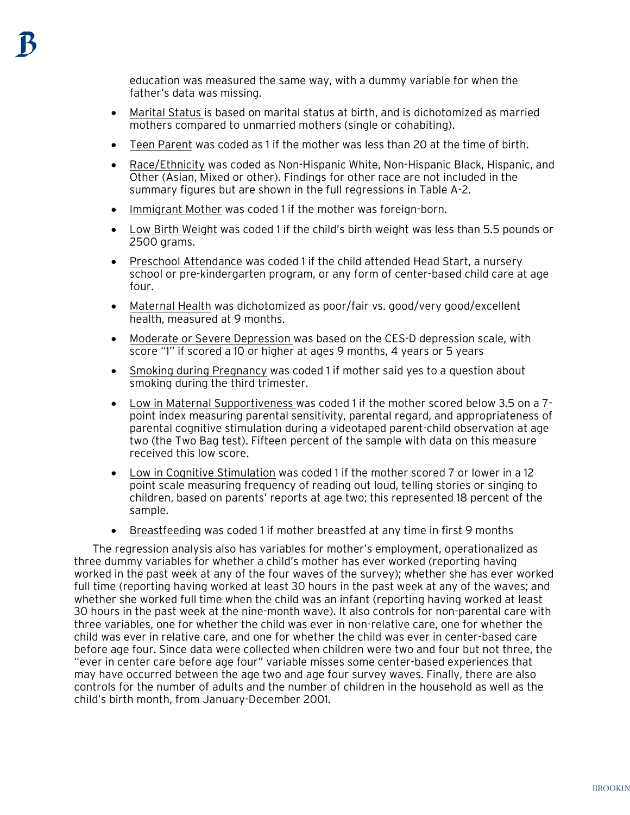education was measured the same way, with a dummy variable for when the father's data was missing.

- Marital Status is based on marital status at birth, and is dichotomized as married mothers compared to unmarried mothers (single or cohabiting).
- Teen Parent was coded as 1 if the mother was less than 20 at the time of birth.
- Race/Ethnicity was coded as Non-Hispanic White, Non-Hispanic Black, Hispanic, and Other (Asian, Mixed or other). Findings for other race are not included in the summary figures but are shown in the full regressions in Table A-2.
- Immigrant Mother was coded 1 if the mother was foreign-born.
- Low Birth Weight was coded 1 if the child's birth weight was less than 5.5 pounds or 2500 grams.
- Preschool Attendance was coded 1 if the child attended Head Start, a nursery school or pre-kindergarten program, or any form of center-based child care at age four.
- Maternal Health was dichotomized as poor/fair vs. good/very good/excellent health, measured at 9 months.
- Moderate or Severe Depression was based on the CES-D depression scale, with score "1" if scored a 10 or higher at ages 9 months, 4 years or 5 years
- Smoking during Pregnancy was coded 1 if mother said yes to a question about smoking during the third trimester.
- Low in Maternal Supportiveness was coded 1 if the mother scored below 3.5 on a 7point index measuring parental sensitivity, parental regard, and appropriateness of parental cognitive stimulation during a videotaped parent-child observation at age two (the Two Bag test). Fifteen percent of the sample with data on this measure received this low score.
- Low in Cognitive Stimulation was coded 1 if the mother scored 7 or lower in a 12 point scale measuring frequency of reading out loud, telling stories or singing to children, based on parents' reports at age two; this represented 18 percent of the sample.
- Breastfeeding was coded 1 if mother breastfed at any time in first 9 months

The regression analysis also has variables for mother's employment, operationalized as three dummy variables for whether a child's mother has ever worked (reporting having worked in the past week at any of the four waves of the survey); whether she has ever worked full time (reporting having worked at least 30 hours in the past week at any of the waves; and whether she worked full time when the child was an infant (reporting having worked at least 30 hours in the past week at the nine-month wave). It also controls for non-parental care with three variables, one for whether the child was ever in non-relative care, one for whether the child was ever in relative care, and one for whether the child was ever in center-based care before age four. Since data were collected when children were two and four but not three, the "ever in center care before age four" variable misses some center-based experiences that may have occurred between the age two and age four survey waves. Finally, there are also controls for the number of adults and the number of children in the household as well as the child's birth month, from January-December 2001.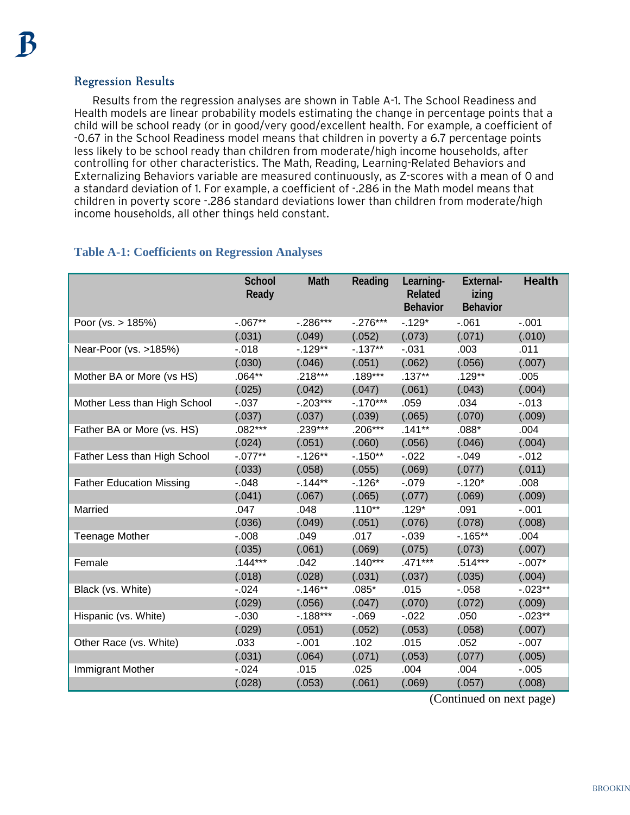## Regression Results

Results from the regression analyses are shown in Table A-1. The School Readiness and Health models are linear probability models estimating the change in percentage points that a child will be school ready (or in good/very good/excellent health. For example, a coefficient of -0.67 in the School Readiness model means that children in poverty a 6.7 percentage points less likely to be school ready than children from moderate/high income households, after controlling for other characteristics. The Math, Reading, Learning-Related Behaviors and Externalizing Behaviors variable are measured continuously, as Z-scores with a mean of 0 and a standard deviation of 1. For example, a coefficient of -.286 in the Math model means that children in poverty score -.286 standard deviations lower than children from moderate/high income households, all other things held constant.

## **Table A-1: Coefficients on Regression Analyses**

|                                 | <b>School</b><br>Ready | Math        | Reading    | Learning-<br>Related<br><b>Behavior</b> | External-<br>izing<br>Behavior | <b>Health</b> |
|---------------------------------|------------------------|-------------|------------|-----------------------------------------|--------------------------------|---------------|
| Poor (vs. > 185%)               | $-067**$               | $-.286***$  | $-.276***$ | $-.129*$                                | $-061$                         | $-.001$       |
|                                 | (.031)                 | (.049)      | (.052)     | (.073)                                  | (.071)                         | (.010)        |
| Near-Poor (vs. >185%)           | $-0.018$               | $-129**$    | $-137**$   | $-0.031$                                | .003                           | .011          |
|                                 | (.030)                 | (.046)      | (.051)     | (.062)                                  | (.056)                         | (.007)        |
| Mother BA or More (vs HS)       | $.064**$               | $.218***$   | $.189***$  | $.137***$                               | $.129**$                       | .005          |
|                                 | (.025)                 | (.042)      | (.047)     | (.061)                                  | (.043)                         | (.004)        |
| Mother Less than High School    | $-0.037$               | $-.203***$  | $-.170***$ | .059                                    | .034                           | $-0.013$      |
|                                 | (.037)                 | (.037)      | (.039)     | (.065)                                  | (.070)                         | (.009)        |
| Father BA or More (vs. HS)      | $.082***$              | $.239***$   | .206***    | $.141**$                                | $.088*$                        | .004          |
|                                 | (.024)                 | (.051)      | (.060)     | (.056)                                  | (.046)                         | (.004)        |
| Father Less than High School    | $-.077**$              | $-.126**$   | $-0.150**$ | $-0.022$                                | $-0.049$                       | $-0.012$      |
|                                 | (.033)                 | (.058)      | (.055)     | (.069)                                  | (.077)                         | (.011)        |
| <b>Father Education Missing</b> | $-0.48$                | $-144**$    | $-.126*$   | $-079$                                  | $-.120*$                       | .008          |
|                                 | (.041)                 | (.067)      | (.065)     | (.077)                                  | (.069)                         | (.009)        |
| Married                         | .047                   | .048        | $.110**$   | $.129*$                                 | .091                           | $-.001$       |
|                                 | (.036)                 | (.049)      | (.051)     | (.076)                                  | (.078)                         | (.008)        |
| <b>Teenage Mother</b>           | $-0.008$               | .049        | .017       | $-0.039$                                | $-0.165**$                     | .004          |
|                                 | (.035)                 | (.061)      | (.069)     | (.075)                                  | (.073)                         | (.007)        |
| Female                          | $.144***$              | .042        | $.140***$  | .471***                                 | $.514***$                      | $-.007*$      |
|                                 | (.018)                 | (.028)      | (.031)     | (.037)                                  | (.035)                         | (.004)        |
| Black (vs. White)               | $-0.024$               | $-.146**$   | $.085*$    | .015                                    | $-0.058$                       | $-0.023**$    |
|                                 | (.029)                 | (.056)      | (.047)     | (.070)                                  | (.072)                         | (.009)        |
| Hispanic (vs. White)            | $-0.030$               | $-0.188***$ | $-069$     | $-0.022$                                | .050                           | $-0.023**$    |
|                                 | (.029)                 | (.051)      | (.052)     | (.053)                                  | (.058)                         | (.007)        |
| Other Race (vs. White)          | .033                   | $-0.01$     | .102       | .015                                    | .052                           | $-.007$       |
|                                 | (.031)                 | (.064)      | (.071)     | (.053)                                  | (.077)                         | (.005)        |
| Immigrant Mother                | $-0.024$               | .015        | .025       | .004                                    | .004                           | $-0.005$      |
|                                 | (.028)                 | (.053)      | (.061)     | (.069)                                  | (.057)                         | (.008)        |

(Continued on next page)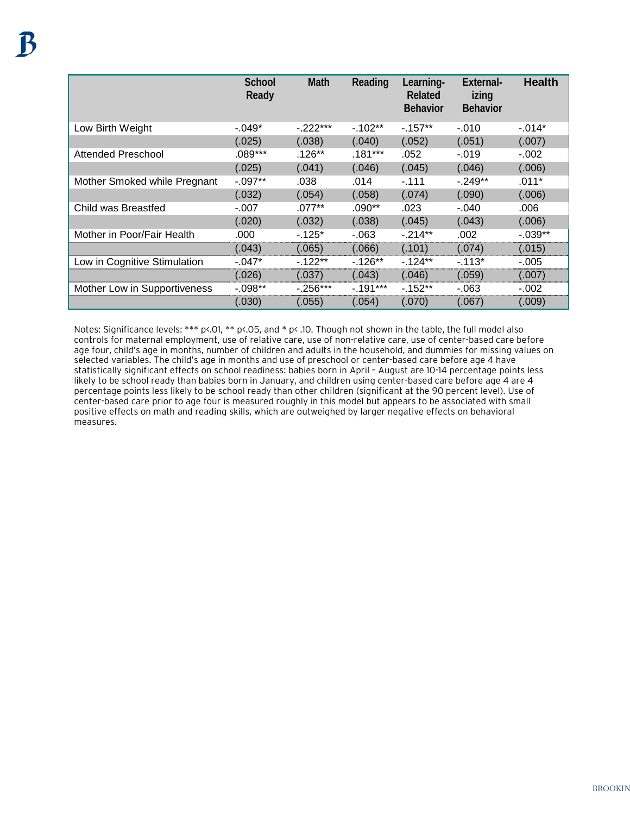|                              | School<br>Ready | <b>Math</b> | Reading   | Learning-<br>Related<br><b>Behavior</b> | External-<br>izing<br><b>Behavior</b> | <b>Health</b> |
|------------------------------|-----------------|-------------|-----------|-----------------------------------------|---------------------------------------|---------------|
| Low Birth Weight             | $-.049*$        | $-222***$   | $-102**$  | $-157**$                                | -.010                                 | $-.014*$      |
|                              | (.025)          | (.038)      | (.040)    | (.052)                                  | (.051)                                | (.007)        |
| <b>Attended Preschool</b>    | $.089***$       | $.126**$    | $.181***$ | .052                                    | $-.019$                               | $-.002$       |
|                              | (.025)          | (.041)      | (.046)    | (.045)                                  | (.046)                                | (.006)        |
| Mother Smoked while Pregnant | $-.097**$       | .038        | .014      | $-111$                                  | $-249**$                              | $.011*$       |
|                              | (.032)          | (.054)      | (.058)    | (.074)                                  | (.090)                                | (.006)        |
| Child was Breastfed          | $-.007$         | $.077**$    | .090**    | .023                                    | $-.040$                               | .006          |
|                              | (.020)          | (.032)      | (.038)    | (.045)                                  | (.043)                                | (.006)        |
| Mother in Poor/Fair Health   | .000            | $-125*$     | $-063$    | $-214**$                                | .002                                  | $-0.039**$    |
|                              | (.043)          | 0.065       | (.066)    | (.101)                                  | (.074)                                | (.015)        |
| Low in Cognitive Stimulation | $-.047*$        | $-122**$    | $-126**$  | $-124**$                                | $-113*$                               | $-005$        |
|                              | (.026)          | (.037)      | (.043)    | (.046)                                  | (.059)                                | (.007)        |
| Mother Low in Supportiveness | $-0.098**$      | $-0.256***$ | $-191***$ | $-152**$                                | $-063$                                | $-.002$       |
|                              | (.030)          | (.055)      | (.054)    | (.070)                                  | (.067)                                | (.009)        |

Notes: Significance levels: \*\*\* p<.01, \*\* p<.05, and \* p< .10. Though not shown in the table, the full model also controls for maternal employment, use of relative care, use of non-relative care, use of center-based care before age four, child's age in months, number of children and adults in the household, and dummies for missing values on selected variables. The child's age in months and use of preschool or center-based care before age 4 have statistically significant effects on school readiness: babies born in April – August are 10-14 percentage points less likely to be school ready than babies born in January, and children using center-based care before age 4 are 4 percentage points less likely to be school ready than other children (significant at the 90 percent level). Use of center-based care prior to age four is measured roughly in this model but appears to be associated with small positive effects on math and reading skills, which are outweighed by larger negative effects on behavioral measures.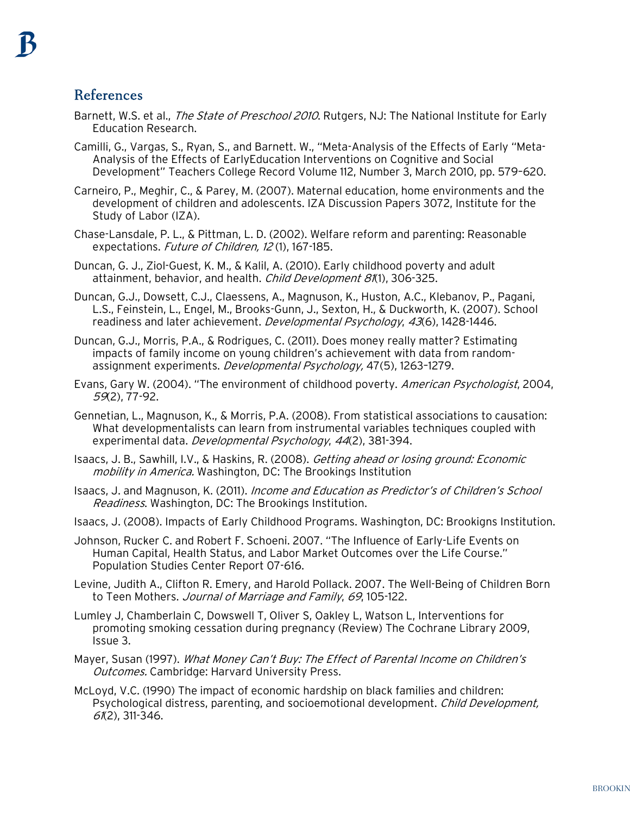## References

- Barnett, W.S. et al., *The State of Preschool 2010*. Rutgers, NJ: The National Institute for Early Education Research.
- Camilli, G., Vargas, S., Ryan, S., and Barnett. W., "Meta-Analysis of the Effects of Early "Meta-Analysis of the Effects of EarlyEducation Interventions on Cognitive and Social Development" Teachers College Record Volume 112, Number 3, March 2010, pp. 579–620.
- Carneiro, P., Meghir, C., & Parey, M. (2007). Maternal education, home environments and the development of children and adolescents. IZA Discussion Papers 3072, Institute for the Study of Labor (IZA).
- Chase-Lansdale, P. L., & Pittman, L. D. (2002). Welfare reform and parenting: Reasonable expectations. Future of Children, 12 (1), 167-185.
- Duncan, G. J., Ziol-Guest, K. M., & Kalil, A. (2010). Early childhood poverty and adult attainment, behavior, and health. Child Development 81(1), 306-325.
- Duncan, G.J., Dowsett, C.J., Claessens, A., Magnuson, K., Huston, A.C., Klebanov, P., Pagani, L.S., Feinstein, L., Engel, M., Brooks-Gunn, J., Sexton, H., & Duckworth, K. (2007). School readiness and later achievement. Developmental Psychology, 43(6), 1428-1446.
- Duncan, G.J., Morris, P.A., & Rodrigues, C. (2011). Does money really matter? Estimating impacts of family income on young children's achievement with data from randomassignment experiments. Developmental Psychology, 47(5), 1263-1279.
- Evans, Gary W. (2004). "The environment of childhood poverty. American Psychologist, 2004, 59(2), 77-92.
- Gennetian, L., Magnuson, K., & Morris, P.A. (2008). From statistical associations to causation: What developmentalists can learn from instrumental variables techniques coupled with experimental data. Developmental Psychology, 44(2), 381-394.
- Isaacs, J. B., Sawhill, I.V., & Haskins, R. (2008). Getting ahead or losing ground: Economic mobility in America. Washington, DC: The Brookings Institution
- Isaacs, J. and Magnuson, K. (2011). Income and Education as Predictor's of Children's School Readiness. Washington, DC: The Brookings Institution.
- Isaacs, J. (2008). Impacts of Early Childhood Programs. Washington, DC: Brookigns Institution.
- Johnson, Rucker C. and Robert F. Schoeni. 2007. "The Influence of Early-Life Events on Human Capital, Health Status, and Labor Market Outcomes over the Life Course." Population Studies Center Report 07-616.
- Levine, Judith A., Clifton R. Emery, and Harold Pollack. 2007. The Well-Being of Children Born to Teen Mothers. Journal of Marriage and Family, 69, 105-122.
- Lumley J, Chamberlain C, Dowswell T, Oliver S, Oakley L, Watson L, Interventions for promoting smoking cessation during pregnancy (Review) The Cochrane Library 2009, Issue 3.
- Mayer, Susan (1997). What Money Can't Buy: The Effect of Parental Income on Children's **Outcomes. Cambridge: Harvard University Press.**
- McLoyd, V.C. (1990) The impact of economic hardship on black families and children: Psychological distress, parenting, and socioemotional development. Child Development, 61(2), 311-346.